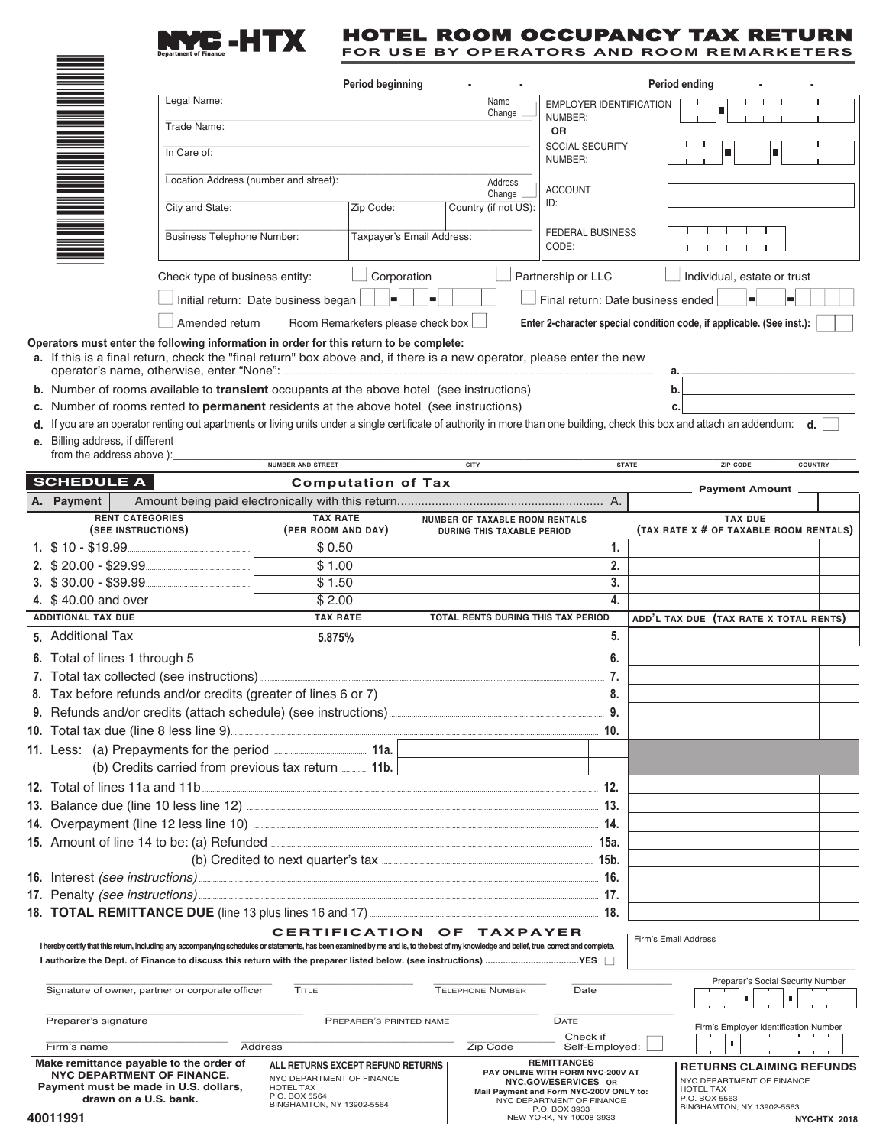#### **E-HTX** HOTEL ROOM OCCUPANCY TAX RETURN **FOR USE BY OPERATORS AND ROOM REMARKETERS**

|                                                                                                                                                                                            | <b>Department of Finance</b>                                                                                                                                                                                      |                                                                                                                              |                                        |                                    |                                                                                                           | URS AND                                                |                                                                   |                                                          |  |  |
|--------------------------------------------------------------------------------------------------------------------------------------------------------------------------------------------|-------------------------------------------------------------------------------------------------------------------------------------------------------------------------------------------------------------------|------------------------------------------------------------------------------------------------------------------------------|----------------------------------------|------------------------------------|-----------------------------------------------------------------------------------------------------------|--------------------------------------------------------|-------------------------------------------------------------------|----------------------------------------------------------|--|--|
|                                                                                                                                                                                            |                                                                                                                                                                                                                   | Period beginning<br>Period ending                                                                                            |                                        |                                    |                                                                                                           |                                                        |                                                                   |                                                          |  |  |
|                                                                                                                                                                                            | Legal Name:                                                                                                                                                                                                       |                                                                                                                              |                                        | Name<br>Change                     | EMPLOYER IDENTIFICATION<br>п                                                                              |                                                        |                                                                   |                                                          |  |  |
|                                                                                                                                                                                            | Trade Name:                                                                                                                                                                                                       |                                                                                                                              |                                        |                                    | NUMBER:<br><b>OR</b>                                                                                      |                                                        |                                                                   |                                                          |  |  |
|                                                                                                                                                                                            | In Care of:                                                                                                                                                                                                       |                                                                                                                              |                                        |                                    | SOCIAL SECURITY<br>NUMBER:                                                                                |                                                        |                                                                   |                                                          |  |  |
|                                                                                                                                                                                            | Location Address (number and street):                                                                                                                                                                             | Address                                                                                                                      |                                        |                                    | <b>ACCOUNT</b><br>ID:                                                                                     |                                                        |                                                                   |                                                          |  |  |
|                                                                                                                                                                                            | City and State:                                                                                                                                                                                                   | Change<br>Country (if not US):<br>Zip Code:                                                                                  |                                        |                                    |                                                                                                           |                                                        |                                                                   |                                                          |  |  |
|                                                                                                                                                                                            | <b>Business Telephone Number:</b>                                                                                                                                                                                 |                                                                                                                              | Taxpayer's Email Address:              |                                    |                                                                                                           |                                                        | <b>FEDERAL BUSINESS</b>                                           |                                                          |  |  |
|                                                                                                                                                                                            | Check type of business entity:                                                                                                                                                                                    | Corporation                                                                                                                  |                                        |                                    | Partnership or LLC                                                                                        |                                                        | Individual, estate or trust                                       |                                                          |  |  |
|                                                                                                                                                                                            | Initial return: Date business began                                                                                                                                                                               |                                                                                                                              | Final return: Date business ended<br>▬ |                                    |                                                                                                           |                                                        |                                                                   |                                                          |  |  |
|                                                                                                                                                                                            |                                                                                                                                                                                                                   | Amended return<br>Room Remarketers please check box<br>Enter 2-character special condition code, if applicable. (See inst.): |                                        |                                    |                                                                                                           |                                                        |                                                                   |                                                          |  |  |
|                                                                                                                                                                                            | Operators must enter the following information in order for this return to be complete:<br>a. If this is a final return, check the "final return" box above and, if there is a new operator, please enter the new |                                                                                                                              |                                        |                                    |                                                                                                           |                                                        |                                                                   | а.                                                       |  |  |
|                                                                                                                                                                                            | b. Number of rooms available to transient occupants at the above hotel (see instructions)<br>b.                                                                                                                   |                                                                                                                              |                                        |                                    |                                                                                                           |                                                        |                                                                   |                                                          |  |  |
|                                                                                                                                                                                            | c. Number of rooms rented to <b>permanent</b> residents at the above hotel (see instructions)<br>c.                                                                                                               |                                                                                                                              |                                        |                                    |                                                                                                           |                                                        |                                                                   |                                                          |  |  |
|                                                                                                                                                                                            | d. If you are an operator renting out apartments or living units under a single certificate of authority in more than one building, check this box and attach an addendum: d.<br>e. Billing address, if different |                                                                                                                              |                                        |                                    |                                                                                                           |                                                        |                                                                   |                                                          |  |  |
|                                                                                                                                                                                            | from the address above ):                                                                                                                                                                                         | NUMBER AND STREET                                                                                                            |                                        | <b>CITY</b>                        |                                                                                                           |                                                        | <b>STATE</b>                                                      | <b>ZIP CODE</b><br><b>COUNTRY</b>                        |  |  |
|                                                                                                                                                                                            | <b>SCHEDULE A</b>                                                                                                                                                                                                 |                                                                                                                              | <b>Computation of Tax</b>              |                                    |                                                                                                           |                                                        |                                                                   | <b>Payment Amount</b>                                    |  |  |
|                                                                                                                                                                                            | A. Payment                                                                                                                                                                                                        |                                                                                                                              |                                        |                                    |                                                                                                           |                                                        |                                                                   |                                                          |  |  |
|                                                                                                                                                                                            | <b>RENT CATEGORIES</b><br>(SEE INSTRUCTIONS)                                                                                                                                                                      | <b>TAX RATE</b><br>(PER ROOM AND DAY)                                                                                        |                                        | NUMBER OF TAXABLE ROOM RENTALS     | DURING THIS TAXABLE PERIOD                                                                                |                                                        |                                                                   | <b>TAX DUE</b><br>(TAX RATE X # OF TAXABLE ROOM RENTALS) |  |  |
|                                                                                                                                                                                            |                                                                                                                                                                                                                   | \$0.50                                                                                                                       |                                        |                                    |                                                                                                           |                                                        | 1.                                                                |                                                          |  |  |
|                                                                                                                                                                                            | 2. \$20.00 - \$29.99                                                                                                                                                                                              | \$1.00                                                                                                                       |                                        |                                    |                                                                                                           |                                                        | 2.                                                                |                                                          |  |  |
|                                                                                                                                                                                            |                                                                                                                                                                                                                   | \$1.50                                                                                                                       |                                        |                                    |                                                                                                           |                                                        | 3.                                                                |                                                          |  |  |
|                                                                                                                                                                                            |                                                                                                                                                                                                                   |                                                                                                                              | \$2.00                                 |                                    |                                                                                                           |                                                        | 4.                                                                |                                                          |  |  |
|                                                                                                                                                                                            | <b>ADDITIONAL TAX DUE</b>                                                                                                                                                                                         | <b>TAX RATE</b>                                                                                                              |                                        | TOTAL RENTS DURING THIS TAX PERIOD |                                                                                                           |                                                        |                                                                   | ADD'L TAX DUE (TAX RATE X TOTAL RENTS)                   |  |  |
|                                                                                                                                                                                            | 5. Additional Tax                                                                                                                                                                                                 | 5.875%                                                                                                                       |                                        |                                    |                                                                                                           | 5.                                                     |                                                                   |                                                          |  |  |
|                                                                                                                                                                                            | 6. Total of lines 1 through 5                                                                                                                                                                                     |                                                                                                                              |                                        |                                    |                                                                                                           | 6.                                                     |                                                                   |                                                          |  |  |
|                                                                                                                                                                                            | 7. Total tax collected (see instructions)                                                                                                                                                                         |                                                                                                                              |                                        |                                    |                                                                                                           |                                                        |                                                                   |                                                          |  |  |
|                                                                                                                                                                                            |                                                                                                                                                                                                                   |                                                                                                                              |                                        |                                    |                                                                                                           |                                                        |                                                                   |                                                          |  |  |
|                                                                                                                                                                                            |                                                                                                                                                                                                                   |                                                                                                                              |                                        |                                    |                                                                                                           |                                                        |                                                                   |                                                          |  |  |
|                                                                                                                                                                                            |                                                                                                                                                                                                                   |                                                                                                                              |                                        |                                    |                                                                                                           |                                                        |                                                                   |                                                          |  |  |
|                                                                                                                                                                                            | (b) Credits carried from previous tax return  11b.                                                                                                                                                                |                                                                                                                              |                                        |                                    |                                                                                                           |                                                        |                                                                   |                                                          |  |  |
|                                                                                                                                                                                            |                                                                                                                                                                                                                   |                                                                                                                              |                                        |                                    |                                                                                                           |                                                        |                                                                   |                                                          |  |  |
|                                                                                                                                                                                            |                                                                                                                                                                                                                   |                                                                                                                              |                                        |                                    |                                                                                                           |                                                        |                                                                   |                                                          |  |  |
|                                                                                                                                                                                            |                                                                                                                                                                                                                   |                                                                                                                              |                                        |                                    |                                                                                                           |                                                        |                                                                   |                                                          |  |  |
|                                                                                                                                                                                            |                                                                                                                                                                                                                   | 15. Amount of line 14 to be: (a) Refunded <b>Election Contract Contract Contract Contract Contract Contract Control</b>      |                                        |                                    |                                                                                                           |                                                        |                                                                   |                                                          |  |  |
|                                                                                                                                                                                            |                                                                                                                                                                                                                   |                                                                                                                              |                                        |                                    |                                                                                                           |                                                        |                                                                   |                                                          |  |  |
|                                                                                                                                                                                            |                                                                                                                                                                                                                   |                                                                                                                              |                                        |                                    |                                                                                                           |                                                        |                                                                   |                                                          |  |  |
|                                                                                                                                                                                            |                                                                                                                                                                                                                   |                                                                                                                              |                                        |                                    |                                                                                                           |                                                        |                                                                   |                                                          |  |  |
| CERTIFICATION OF TAXPAYER<br>Firm's Email Address                                                                                                                                          |                                                                                                                                                                                                                   |                                                                                                                              |                                        |                                    |                                                                                                           |                                                        |                                                                   |                                                          |  |  |
| I hereby certify that this return, including any accompanying schedules or statements, has been examined by me and is, to the best of my knowledge and belief, true, correct and complete. |                                                                                                                                                                                                                   |                                                                                                                              |                                        |                                    |                                                                                                           |                                                        |                                                                   |                                                          |  |  |
| Preparer's Social Security Number<br>Signature of owner, partner or corporate officer<br>TITLE<br><b>TELEPHONE NUMBER</b><br>Date                                                          |                                                                                                                                                                                                                   |                                                                                                                              |                                        |                                    |                                                                                                           |                                                        |                                                                   |                                                          |  |  |
|                                                                                                                                                                                            | Preparer's signature                                                                                                                                                                                              | PREPARER'S PRINTED NAME                                                                                                      |                                        | DATE                               |                                                                                                           | Firm's Employer Identification Number                  |                                                                   |                                                          |  |  |
|                                                                                                                                                                                            | Firm's name                                                                                                                                                                                                       | <b>Address</b>                                                                                                               |                                        |                                    | Zip Code                                                                                                  | Check if<br>Self-Employed:                             |                                                                   | п                                                        |  |  |
|                                                                                                                                                                                            | Make remittance payable to the order of                                                                                                                                                                           | ALL RETURNS EXCEPT REFUND RETURNS                                                                                            |                                        |                                    |                                                                                                           | <b>REMITTANCES</b><br>PAY ONLINE WITH FORM NYC-200V AT |                                                                   | <b>RETURNS CLAIMING REFUNDS</b>                          |  |  |
|                                                                                                                                                                                            | <b>NYC DEPARTMENT OF FINANCE.</b><br>Payment must be made in U.S. dollars,                                                                                                                                        | NYC DEPARTMENT OF FINANCE                                                                                                    |                                        |                                    | NYC DEPARTMENT OF FINANCE<br>NYC.GOV/ESERVICES OR<br>HOTEL TAX<br>Mail Payment and Form NYC-200V ONLY to: |                                                        |                                                                   |                                                          |  |  |
|                                                                                                                                                                                            | drawn on a U.S. bank.<br>40011991                                                                                                                                                                                 | NYC DEPARTMENT OF FINANCE<br>BINGHAMTON, NY 13902-5564<br>P.O. BOX 3933<br>NEW YORK, NY 10008-3933                           |                                        |                                    |                                                                                                           |                                                        | P.O. BOX 5563<br>BINGHAMTON, NY 13902-5563<br><b>NYC-HTX 2018</b> |                                                          |  |  |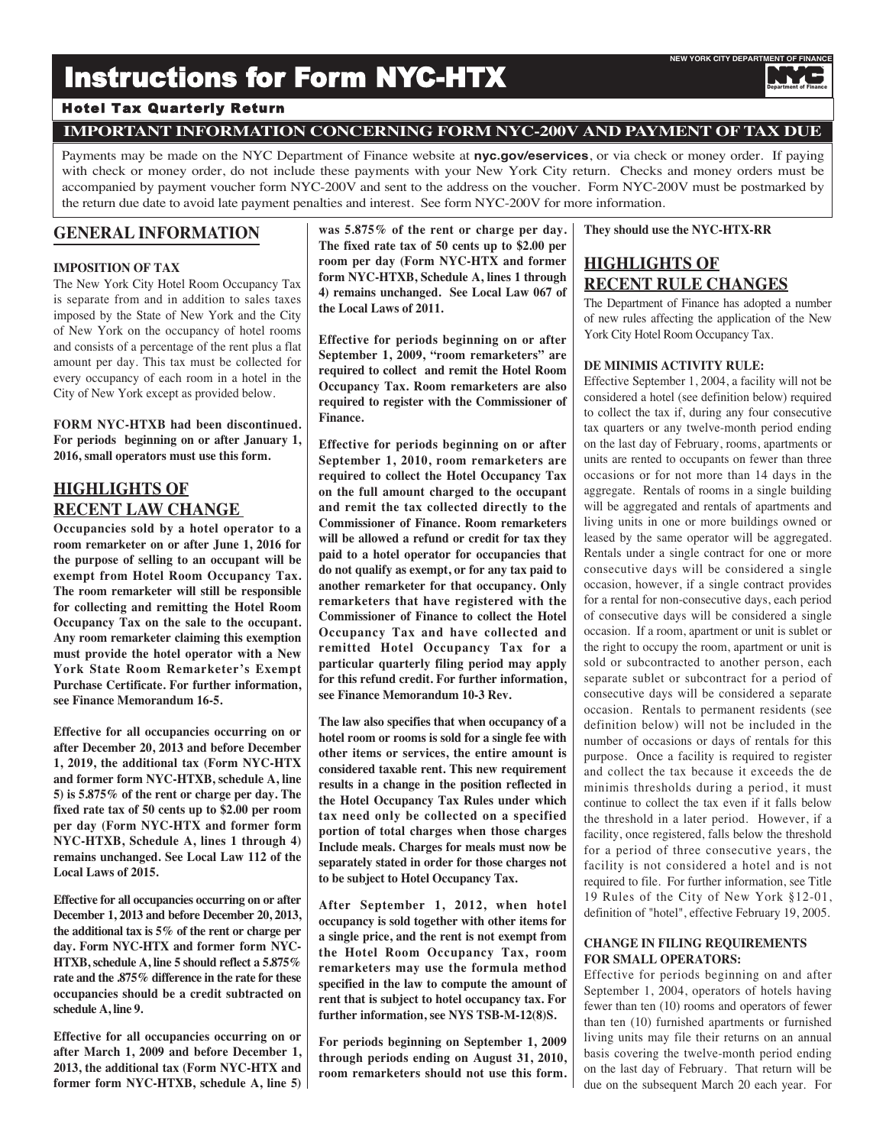# Instructions for Form NYC-HTX

# Hotel Tax Quarterly Return

# **IMPORTANT INFORMATION CONCERNING FORM NYC-200V AND PAYMENT OF TAX DUE**

Payments may be made on the NYC Department of Finance website at **nyc.gov/eservices**, or via check or money order. If paying with check or money order, do not include these payments with your New York City return. Checks and money orders must be accompanied by payment voucher form NYC-200V and sent to the address on the voucher. Form NYC-200V must be postmarked by the return due date to avoid late payment penalties and interest. See form NYC-200V for more information.

# **GENERAL INFORMATION**

# **IMPOSITION OF TAX**

The New York City Hotel Room Occupancy Tax is separate from and in addition to sales taxes imposed by the State of New York and the City of New York on the occupancy of hotel rooms and consists of a percentage of the rent plus a flat amount per day. This tax must be collected for every occupancy of each room in a hotel in the City of New York except as provided below.

**FORM NYC-HTXB had been discontinued. For periods beginning on or after January 1, 2016, small operators must use this form.**

# **HIGHLIGHTS OF RECENT LAW CHANGE**

**Occupancies sold by a hotel operator to a room remarketer on or after June 1, 2016 for the purpose of selling to an occupant will be exempt from Hotel Room Occupancy Tax. The room remarketer will still be responsible for collecting and remitting the Hotel Room Occupancy Tax on the sale to the occupant. Any room remarketer claiming this exemption must provide the hotel operator with a New York State Room Remarketer's Exempt Purchase Certificate. For further information, see Finance Memorandum 16-5.**

**Effective for all occupancies occurring on or after December 20, 2013 and before December 1, 2019, the additional tax (Form NYC-HTX and former form NYC-HTXB, schedule A, line 5) is 5.875% of the rent or charge per day. The fixed rate tax of 50 cents up to \$2.00 per room per day (Form NYC-HTX and former form NYC-HTXB, Schedule A, lines 1 through 4) remains unchanged. See Local Law 112 of the Local Laws of 2015.**

**Effective for all occupancies occurring on or after December 1, 2013 and before December 20, 2013, the additional tax is 5% of the rent or charge per day. Form NYC-HTX and former form NYC-HTXB, schedule A, line 5 should reflect a 5.875% rate and the .875% difference in the rate for these occupancies should be a credit subtracted on schedule A, line 9.**

**Effective for all occupancies occurring on or after March 1, 2009 and before December 1, 2013, the additional tax (Form NYC-HTX and former form NYC-HTXB, schedule A, line 5)** **was 5.875% of the rent or charge per day. The fixed rate tax of 50 cents up to \$2.00 per room per day (Form NYC-HTX and former form NYC-HTXB, Schedule A, lines 1 through 4) remains unchanged. See Local Law 067 of the Local Laws of 2011.**

**Effective for periods beginning on or after September 1, 2009, "room remarketers" are required to collect and remit the Hotel Room Occupancy Tax. Room remarketers are also required to register with the Commissioner of Finance.**

**Effective for periods beginning on or after September 1, 2010, room remarketers are required to collect the Hotel Occupancy Tax on the full amount charged to the occupant and remit the tax collected directly to the Commissioner of Finance. Room remarketers will be allowed a refund or credit for tax they paid to a hotel operator for occupancies that do not qualify as exempt, or for any tax paid to another remarketer for that occupancy. Only remarketers that have registered with the Commissioner of Finance to collect the Hotel Occupancy Tax and have collected and remitted Hotel Occupancy Tax for a particular quarterly filing period may apply for this refund credit. For further information, see Finance Memorandum 10-3 Rev.**

**The law also specifies that when occupancy of a hotel room or rooms is sold for a single fee with other items or services, the entire amount is considered taxable rent. This new requirement results in a change in the position reflected in the Hotel Occupancy Tax Rules under which tax need only be collected on a specified portion of total charges when those charges Include meals. Charges for meals must now be separately stated in order for those charges not to be subject to Hotel Occupancy Tax.**

**After September 1, 2012, when hotel occupancy is sold together with other items for a single price, and the rent is not exempt from the Hotel Room Occupancy Tax, room remarketers may use the formula method specified in the law to compute the amount of rent that is subject to hotel occupancy tax. For further information, see NYS TSB-M-12(8)S.**

**For periods beginning on September 1, 2009 through periods ending on August 31, 2010, room remarketers should not use this form.**

# **They should use the NYC-HTX-RR**

# **HIGHLIGHTS OF RECENT RULE CHANGES**

The Department of Finance has adopted a number of new rules affecting the application of the New York City Hotel Room Occupancy Tax.

## **DE MINIMIS ACTIVITY RULE:**

Effective September 1, 2004, a facility will not be considered a hotel (see definition below) required to collect the tax if, during any four consecutive tax quarters or any twelve-month period ending on the last day of February, rooms, apartments or units are rented to occupants on fewer than three occasions or for not more than 14 days in the aggregate. Rentals of rooms in a single building will be aggregated and rentals of apartments and living units in one or more buildings owned or leased by the same operator will be aggregated. Rentals under a single contract for one or more consecutive days will be considered a single occasion, however, if a single contract provides for a rental for non-consecutive days, each period of consecutive days will be considered a single occasion. If a room, apartment or unit is sublet or the right to occupy the room, apartment or unit is sold or subcontracted to another person, each separate sublet or subcontract for a period of consecutive days will be considered a separate occasion. Rentals to permanent residents (see definition below) will not be included in the number of occasions or days of rentals for this purpose. Once a facility is required to register and collect the tax because it exceeds the de minimis thresholds during a period, it must continue to collect the tax even if it falls below the threshold in a later period. However, if a facility, once registered, falls below the threshold for a period of three consecutive years, the facility is not considered a hotel and is not required to file. For further information, see Title 19 Rules of the City of New York §12-01, definition of "hotel", effective February 19, 2005.

# **CHANGE IN FILING REQUIREMENTS FOR SMALL OPERATORS:**

Effective for periods beginning on and after September 1, 2004, operators of hotels having fewer than ten (10) rooms and operators of fewer than ten (10) furnished apartments or furnished living units may file their returns on an annual basis covering the twelve-month period ending on the last day of February. That return will be due on the subsequent March 20 each year. For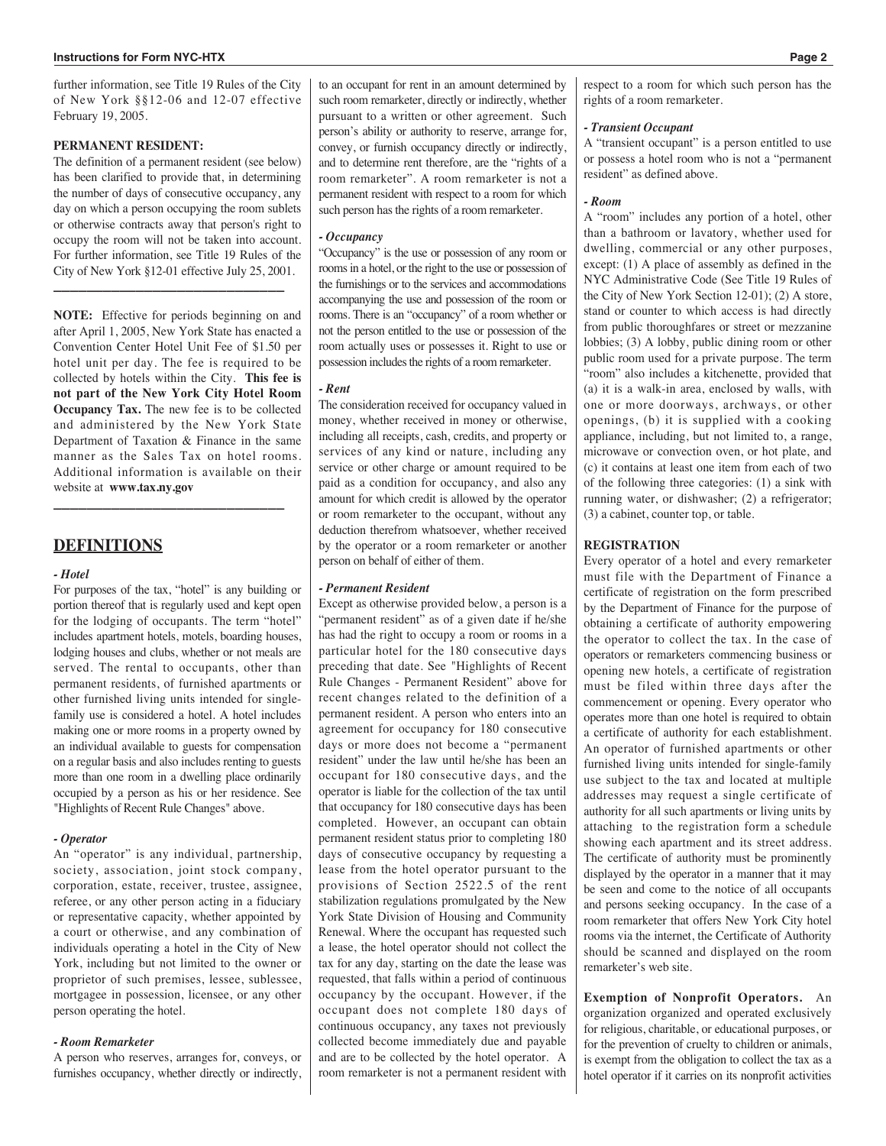further information, see Title 19 Rules of the City of New York §§12-06 and 12-07 effective February 19, 2005.

## **PERMANENT RESIDENT:**

The definition of a permanent resident (see below) has been clarified to provide that, in determining the number of days of consecutive occupancy, any day on which a person occupying the room sublets or otherwise contracts away that person's right to occupy the room will not be taken into account. For further information, see Title 19 Rules of the City of New York §12-01 effective July 25, 2001. **\_\_\_\_\_\_\_\_\_\_\_\_\_\_\_\_\_\_\_\_\_\_\_\_\_\_\_\_**

**NOTE:** Effective for periods beginning on and after April 1, 2005, New York State has enacted a Convention Center Hotel Unit Fee of \$1.50 per hotel unit per day. The fee is required to be collected by hotels within the City. **This fee is not part of the New York City Hotel Room Occupancy Tax.** The new fee is to be collected and administered by the New York State Department of Taxation & Finance in the same manner as the Sales Tax on hotel rooms. Additional information is available on their website at **www.tax.ny.gov \_\_\_\_\_\_\_\_\_\_\_\_\_\_\_\_\_\_\_\_\_\_\_\_\_\_\_\_**

# **DEFINITIONS**

## *- Hotel*

For purposes of the tax, "hotel" is any building or portion thereof that is regularly used and kept open for the lodging of occupants. The term "hotel" includes apartment hotels, motels, boarding houses, lodging houses and clubs, whether or not meals are served. The rental to occupants, other than permanent residents, of furnished apartments or other furnished living units intended for singlefamily use is considered a hotel. A hotel includes making one or more rooms in a property owned by an individual available to guests for compensation on a regular basis and also includes renting to guests more than one room in a dwelling place ordinarily occupied by a person as his or her residence. See "Highlights of Recent Rule Changes" above.

#### *- Operator*

An "operator" is any individual, partnership, society, association, joint stock company, corporation, estate, receiver, trustee, assignee, referee, or any other person acting in a fiduciary or representative capacity, whether appointed by a court or otherwise, and any combination of individuals operating a hotel in the City of New York, including but not limited to the owner or proprietor of such premises, lessee, sublessee, mortgagee in possession, licensee, or any other person operating the hotel.

#### *- Room Remarketer*

A person who reserves, arranges for, conveys, or furnishes occupancy, whether directly or indirectly,

to an occupant for rent in an amount determined by such room remarketer, directly or indirectly, whether pursuant to a written or other agreement. Such person's ability or authority to reserve, arrange for, convey, or furnish occupancy directly or indirectly, and to determine rent therefore, are the "rights of a room remarketer". A room remarketer is not a permanent resident with respect to a room for which such person has the rights of a room remarketer.

## *- Occupancy*

"Occupancy" is the use or possession of any room or rooms in a hotel, or the right to the use or possession of the furnishings or to the services and accommodations accompanying the use and possession of the room or rooms. There is an "occupancy" of a room whether or not the person entitled to the use or possession of the room actually uses or possesses it. Right to use or possession includes the rights of a room remarketer.

#### *- Rent*

The consideration received for occupancy valued in money, whether received in money or otherwise, including all receipts, cash, credits, and property or services of any kind or nature, including any service or other charge or amount required to be paid as a condition for occupancy, and also any amount for which credit is allowed by the operator or room remarketer to the occupant, without any deduction therefrom whatsoever, whether received by the operator or a room remarketer or another person on behalf of either of them.

## *- Permanent Resident*

Except as otherwise provided below, a person is a "permanent resident" as of a given date if he/she has had the right to occupy a room or rooms in a particular hotel for the 180 consecutive days preceding that date. See "Highlights of Recent Rule Changes - Permanent Resident" above for recent changes related to the definition of a permanent resident. A person who enters into an agreement for occupancy for 180 consecutive days or more does not become a "permanent resident" under the law until he/she has been an occupant for 180 consecutive days, and the operator is liable for the collection of the tax until that occupancy for 180 consecutive days has been completed. However, an occupant can obtain permanent resident status prior to completing 180 days of consecutive occupancy by requesting a lease from the hotel operator pursuant to the provisions of Section 2522.5 of the rent stabilization regulations promulgated by the New York State Division of Housing and Community Renewal. Where the occupant has requested such a lease, the hotel operator should not collect the tax for any day, starting on the date the lease was requested, that falls within a period of continuous occupancy by the occupant. However, if the occupant does not complete 180 days of continuous occupancy, any taxes not previously collected become immediately due and payable and are to be collected by the hotel operator. A room remarketer is not a permanent resident with

respect to a room for which such person has the rights of a room remarketer.

#### *- Transient Occupant*

A "transient occupant" is a person entitled to use or possess a hotel room who is not a "permanent resident" as defined above.

#### *- Room*

A "room" includes any portion of a hotel, other than a bathroom or lavatory, whether used for dwelling, commercial or any other purposes, except: (1) A place of assembly as defined in the NYC Administrative Code (See Title 19 Rules of the City of New York Section 12-01); (2) A store, stand or counter to which access is had directly from public thoroughfares or street or mezzanine lobbies; (3) A lobby, public dining room or other public room used for a private purpose. The term "room" also includes a kitchenette, provided that (a) it is a walk-in area, enclosed by walls, with one or more doorways, archways, or other openings, (b) it is supplied with a cooking appliance, including, but not limited to, a range, microwave or convection oven, or hot plate, and (c) it contains at least one item from each of two of the following three categories: (1) a sink with running water, or dishwasher; (2) a refrigerator; (3) a cabinet, counter top, or table.

#### **REGISTRATION**

Every operator of a hotel and every remarketer must file with the Department of Finance a certificate of registration on the form prescribed by the Department of Finance for the purpose of obtaining a certificate of authority empowering the operator to collect the tax. In the case of operators or remarketers commencing business or opening new hotels, a certificate of registration must be filed within three days after the commencement or opening. Every operator who operates more than one hotel is required to obtain a certificate of authority for each establishment. An operator of furnished apartments or other furnished living units intended for single-family use subject to the tax and located at multiple addresses may request a single certificate of authority for all such apartments or living units by attaching to the registration form a schedule showing each apartment and its street address. The certificate of authority must be prominently displayed by the operator in a manner that it may be seen and come to the notice of all occupants and persons seeking occupancy. In the case of a room remarketer that offers New York City hotel rooms via the internet, the Certificate of Authority should be scanned and displayed on the room remarketer's web site.

**Exemption of Nonprofit Operators.** An organization organized and operated exclusively for religious, charitable, or educational purposes, or for the prevention of cruelty to children or animals, is exempt from the obligation to collect the tax as a hotel operator if it carries on its nonprofit activities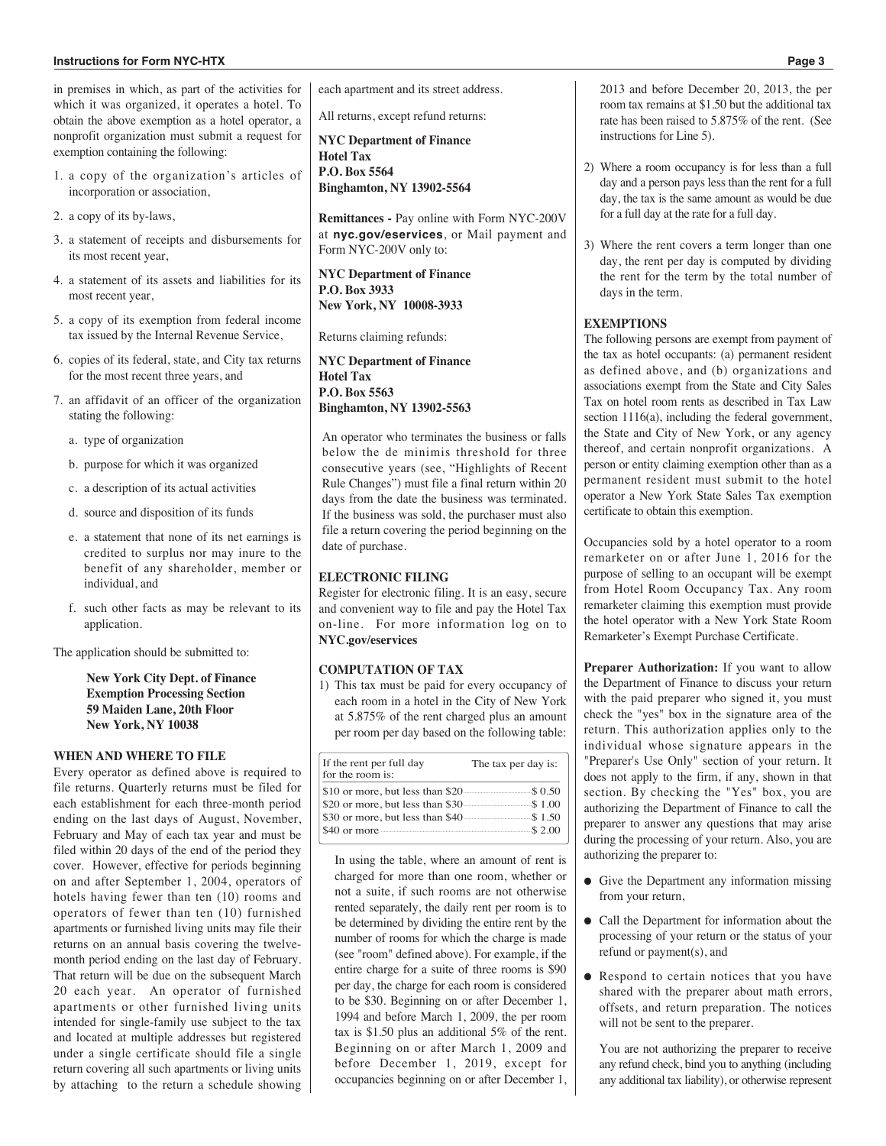#### **Instructions for Form NyC-hTx Page 3**

in premises in which, as part of the activities for which it was organized, it operates a hotel. To obtain the above exemption as a hotel operator, a nonprofit organization must submit a request for exemption containing the following:

- 1. a copy of the organization's articles of incorporation or association,
- 2. a copy of its by-laws,
- 3. a statement of receipts and disbursements for its most recent year,
- 4. a statement of its assets and liabilities for its most recent year,
- 5. a copy of its exemption from federal income tax issued by the Internal Revenue Service,
- 6. copies of its federal, state, and City tax returns for the most recent three years, and
- 7. an affidavit of an officer of the organization stating the following:
	- a. type of organization
	- b. purpose for which it was organized
	- c. a description of its actual activities
	- d. source and disposition of its funds
	- e. a statement that none of its net earnings is credited to surplus nor may inure to the benefit of any shareholder, member or individual, and
	- f. such other facts as may be relevant to its application.

The application should be submitted to:

**New York City Dept. of Finance Exemption Processing Section 59 Maiden Lane, 20th Floor New York, NY 10038**

# **WHEN AND WHERE TO FILE**

Every operator as defined above is required to file returns. Quarterly returns must be filed for each establishment for each three-month period ending on the last days of August, November, February and May of each tax year and must be filed within 20 days of the end of the period they cover. However, effective for periods beginning on and after September 1, 2004, operators of hotels having fewer than ten (10) rooms and operators of fewer than ten (10) furnished apartments or furnished living units may file their returns on an annual basis covering the twelvemonth period ending on the last day of February. That return will be due on the subsequent March 20 each year. An operator of furnished apartments or other furnished living units intended for single-family use subject to the tax and located at multiple addresses but registered under a single certificate should file a single return covering all such apartments or living units by attaching to the return a schedule showing each apartment and its street address.

All returns, except refund returns:

**NYC Department of Finance Hotel Tax P.O. Box 5564 Binghamton, NY 13902-5564**

**Remittances -** Pay online with Form NYC-200V at **nyc.gov/eservices**, or Mail payment and Form NYC-200V only to:

**NYC Department of Finance P.O. Box 3933 New York, NY 10008-3933**

Returns claiming refunds:

**NYC Department of Finance Hotel Tax P.O. Box 5563 Binghamton, NY 13902-5563**

An operator who terminates the business or falls below the de minimis threshold for three consecutive years (see, "Highlights of Recent Rule Changes") must file a final return within 20 days from the date the business was terminated. If the business was sold, the purchaser must also file a return covering the period beginning on the date of purchase.

## **ELECTRONIC FILING**

Register for electronic filing. It is an easy, secure and convenient way to file and pay the Hotel Tax on-line. For more information log on to **NYC.gov/eservices**

## **COMPUTATION OF TAX**

1) This tax must be paid for every occupancy of each room in a hotel in the City of New York at 5.875% of the rent charged plus an amount per room per day based on the following table:

| If the rent per full day<br>for the room is: | The tax per day is: |
|----------------------------------------------|---------------------|
| \$10 or more, but less than \$20.            | --\$ 0.50<br>       |
| \$20 or more, but less than \$30.            | \$1.00              |
| \$30 or more, but less than \$40.            | \$1.50              |
| \$40 or more                                 | \$2.00              |

In using the table, where an amount of rent is charged for more than one room, whether or not a suite, if such rooms are not otherwise rented separately, the daily rent per room is to be determined by dividing the entire rent by the number of rooms for which the charge is made (see "room" defined above). For example, if the entire charge for a suite of three rooms is \$90 per day, the charge for each room is considered to be \$30. Beginning on or after December 1, 1994 and before March 1, 2009, the per room tax is \$1.50 plus an additional 5% of the rent. Beginning on or after March 1, 2009 and before December 1, 2019, except for occupancies beginning on or after December 1, 2013 and before December 20, 2013, the per room tax remains at \$1.50 but the additional tax rate has been raised to 5.875% of the rent. (See instructions for Line 5).

- 2) Where a room occupancy is for less than a full day and a person pays less than the rent for a full day, the tax is the same amount as would be due for a full day at the rate for a full day.
- 3) Where the rent covers a term longer than one day, the rent per day is computed by dividing the rent for the term by the total number of days in the term.

#### **EXEMPTIONS**

The following persons are exempt from payment of the tax as hotel occupants: (a) permanent resident as defined above, and (b) organizations and associations exempt from the State and City Sales Tax on hotel room rents as described in Tax Law section 1116(a), including the federal government, the State and City of New York, or any agency thereof, and certain nonprofit organizations. A person or entity claiming exemption other than as a permanent resident must submit to the hotel operator a New York State Sales Tax exemption certificate to obtain this exemption.

Occupancies sold by a hotel operator to a room remarketer on or after June 1, 2016 for the purpose of selling to an occupant will be exempt from Hotel Room Occupancy Tax. Any room remarketer claiming this exemption must provide the hotel operator with a New York State Room Remarketer's Exempt Purchase Certificate.

**Preparer Authorization:** If you want to allow the Department of Finance to discuss your return with the paid preparer who signed it, you must check the "yes" box in the signature area of the return. This authorization applies only to the individual whose signature appears in the "Preparer's Use Only" section of your return. It does not apply to the firm, if any, shown in that section. By checking the "Yes" box, you are authorizing the Department of Finance to call the preparer to answer any questions that may arise during the processing of your return. Also, you are authorizing the preparer to:

- Give the Department any information missing from your return,
- Call the Department for information about the processing of your return or the status of your refund or payment(s), and
- Respond to certain notices that you have shared with the preparer about math errors, offsets, and return preparation. The notices will not be sent to the preparer.

You are not authorizing the preparer to receive any refund check, bind you to anything (including any additional tax liability), or otherwise represent